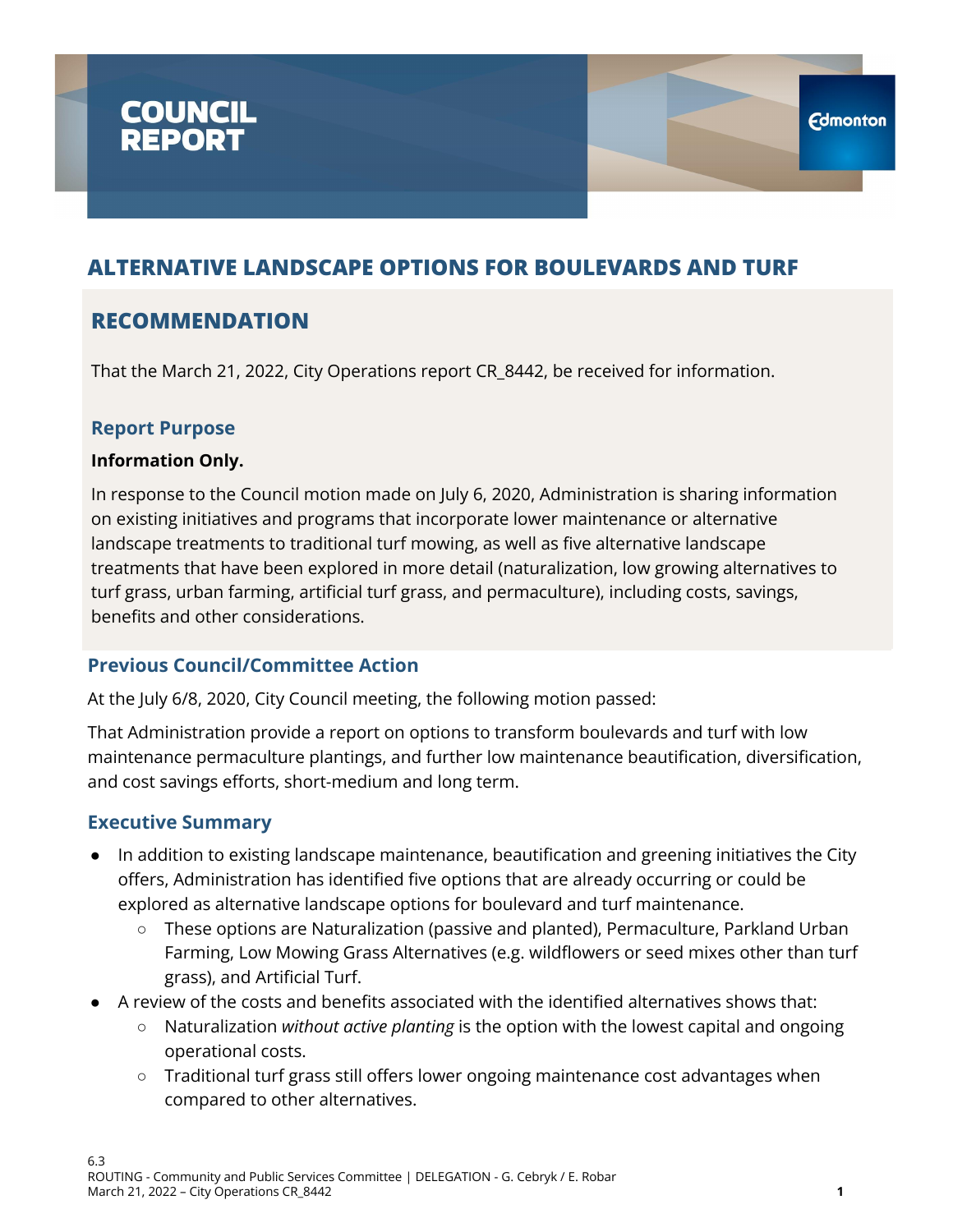

## **RECOMMENDATION**

That the March 21, 2022, City Operations report CR\_8442, be received for information.

#### **Report Purpose**

#### **Information Only.**

In response to the Council motion made on July 6, 2020, Administration is sharing information on existing initiatives and programs that incorporate lower maintenance or alternative landscape treatments to traditional turf mowing, as well as five alternative landscape treatments that have been explored in more detail (naturalization, low growing alternatives to turf grass, urban farming, artificial turf grass, and permaculture), including costs, savings, benefits and other considerations.

#### **Previous Council/Committee Action**

At the July 6/8, 2020, City Council meeting, the following motion passed:

That Administration provide a report on options to transform boulevards and turf with low maintenance permaculture plantings, and further low maintenance beautification, diversification, and cost savings efforts, short-medium and long term.

#### **Executive Summary**

- In addition to existing landscape maintenance, beautification and greening initiatives the City offers, Administration has identified five options that are already occurring or could be explored as alternative landscape options for boulevard and turf maintenance.
	- These options are Naturalization (passive and planted), Permaculture, Parkland Urban Farming, Low Mowing Grass Alternatives (e.g. wildflowers or seed mixes other than turf grass), and Artificial Turf.
- A review of the costs and benefits associated with the identified alternatives shows that:
	- Naturalization *without active planting* is the option with the lowest capital and ongoing operational costs.
	- $\circ$  Traditional turf grass still offers lower ongoing maintenance cost advantages when compared to other alternatives.

**Edmonton**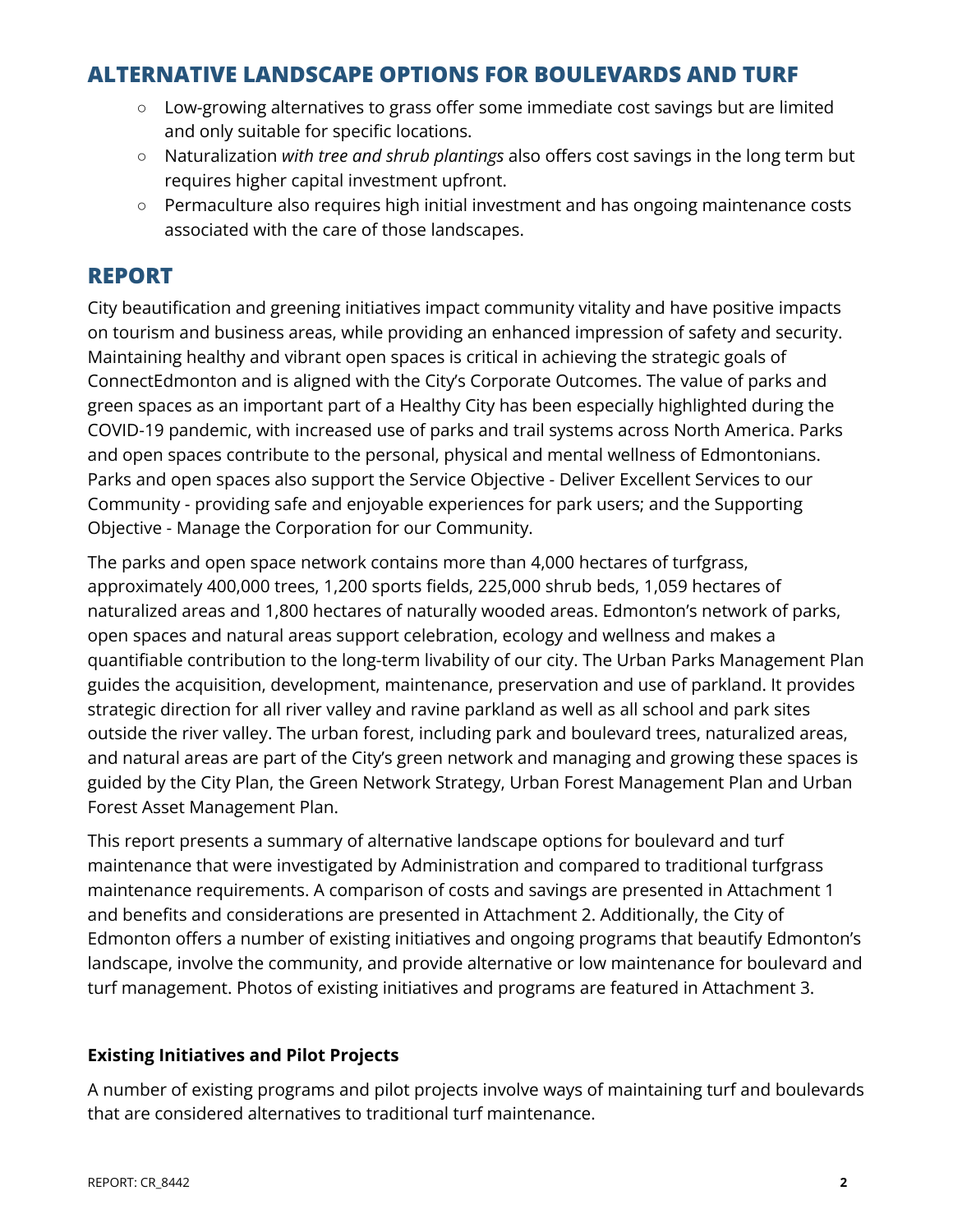- Low-growing alternatives to grass offer some immediate cost savings but are limited and only suitable for specific locations.
- Naturalization *with tree and shrub plantings* also offers cost savings in the long term but requires higher capital investment upfront.
- Permaculture also requires high initial investment and has ongoing maintenance costs associated with the care of those landscapes.

## **REPORT**

City beautification and greening initiatives impact community vitality and have positive impacts on tourism and business areas, while providing an enhanced impression of safety and security. Maintaining healthy and vibrant open spaces is critical in achieving the strategic goals of ConnectEdmonton and is aligned with the City's Corporate Outcomes. The value of parks and green spaces as an important part of a Healthy City has been especially highlighted during the COVID-19 pandemic, with increased use of parks and trail systems across North America. Parks and open spaces contribute to the personal, physical and mental wellness of Edmontonians. Parks and open spaces also support the Service Objective - Deliver Excellent Services to our Community - providing safe and enjoyable experiences for park users; and the Supporting Objective - Manage the Corporation for our Community.

The parks and open space network contains more than 4,000 hectares of turfgrass, approximately 400,000 trees, 1,200 sports fields, 225,000 shrub beds, 1,059 hectares of naturalized areas and 1,800 hectares of naturally wooded areas. Edmonton's network of parks, open spaces and natural areas support celebration, ecology and wellness and makes a quantifiable contribution to the long-term livability of our city. The Urban Parks Management Plan guides the acquisition, development, maintenance, preservation and use of parkland. It provides strategic direction for all river valley and ravine parkland as well as all school and park sites outside the river valley. The urban forest, including park and boulevard trees, naturalized areas, and natural areas are part of the City's green network and managing and growing these spaces is guided by the City Plan, the Green Network Strategy, Urban Forest Management Plan and Urban Forest Asset Management Plan.

This report presents a summary of alternative landscape options for boulevard and turf maintenance that were investigated by Administration and compared to traditional turfgrass maintenance requirements. A comparison of costs and savings are presented in Attachment 1 and benefits and considerations are presented in Attachment 2. Additionally, the City of Edmonton offers a number of existing initiatives and ongoing programs that beautify Edmonton's landscape, involve the community, and provide alternative or low maintenance for boulevard and turf management. Photos of existing initiatives and programs are featured in Attachment 3.

### **Existing Initiatives and Pilot Projects**

A number of existing programs and pilot projects involve ways of maintaining turf and boulevards that are considered alternatives to traditional turf maintenance.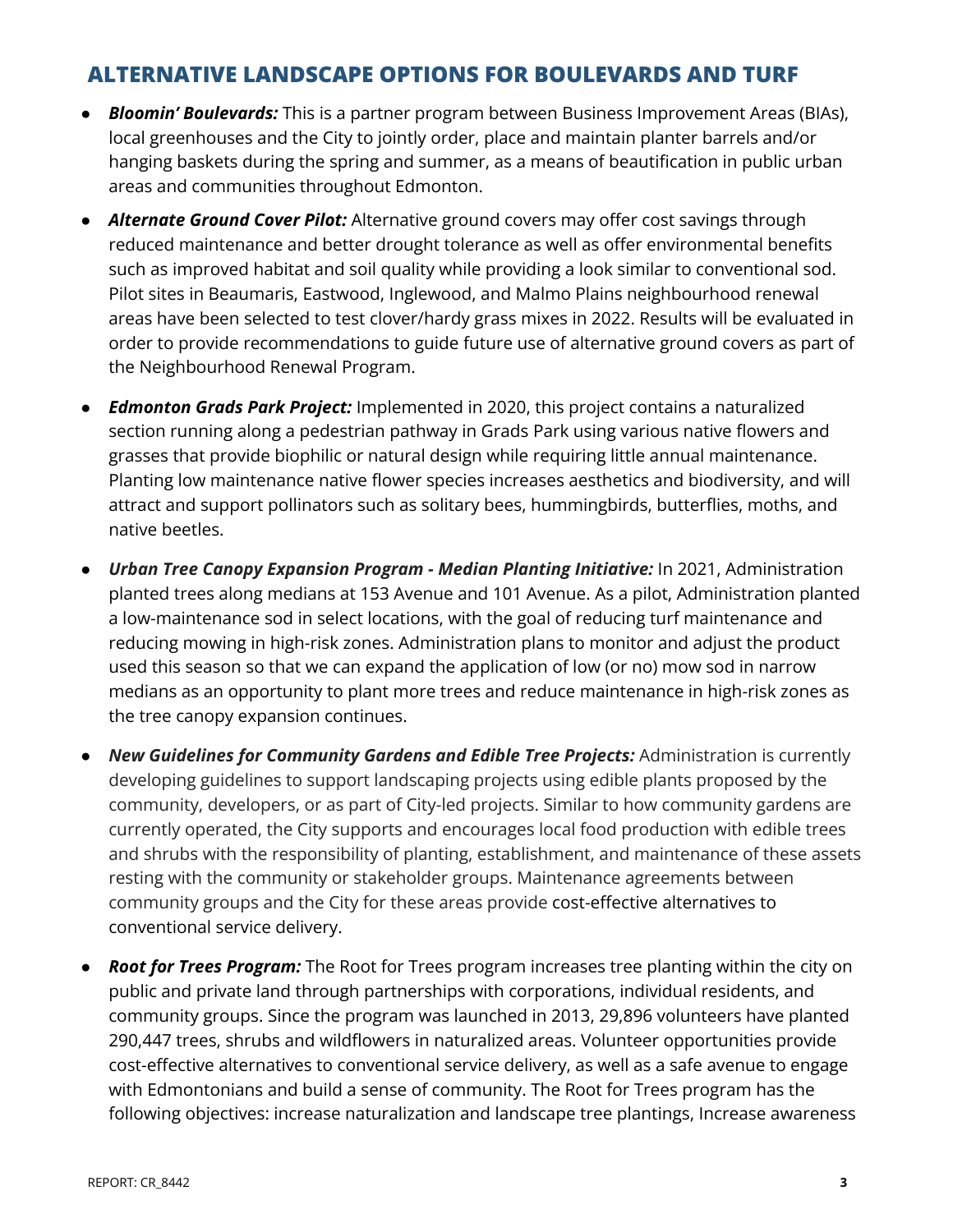- **Bloomin' Boulevards:** This is a partner program between Business Improvement Areas (BIAs), local greenhouses and the City to jointly order, place and maintain planter barrels and/or hanging baskets during the spring and summer, as a means of beautification in public urban areas and communities throughout Edmonton.
- *Alternate Ground Cover Pilot:* Alternative ground covers may offer cost savings through reduced maintenance and better drought tolerance as well as offer environmental benefits such as improved habitat and soil quality while providing a look similar to conventional sod. Pilot sites in Beaumaris, Eastwood, Inglewood, and Malmo Plains neighbourhood renewal areas have been selected to test clover/hardy grass mixes in 2022. Results will be evaluated in order to provide recommendations to guide future use of alternative ground covers as part of the Neighbourhood Renewal Program.
- *Edmonton Grads Park Project:* Implemented in 2020, this project contains a naturalized section running along a pedestrian pathway in Grads Park using various native flowers and grasses that provide biophilic or natural design while requiring little annual maintenance. Planting low maintenance native flower species increases aesthetics and biodiversity, and will attract and support pollinators such as solitary bees, hummingbirds, butterflies, moths, and native beetles.
- *Urban Tree Canopy Expansion Program - Median Planting Initiative:* In 2021, Administration planted trees along medians at 153 Avenue and 101 Avenue. As a pilot, Administration planted a low-maintenance sod in select locations, with the goal of reducing turf maintenance and reducing mowing in high-risk zones. Administration plans to monitor and adjust the product used this season so that we can expand the application of low (or no) mow sod in narrow medians as an opportunity to plant more trees and reduce maintenance in high-risk zones as the tree canopy expansion continues.
- *New Guidelines for Community Gardens and Edible Tree Projects:* Administration is currently developing guidelines to support landscaping projects using edible plants proposed by the community, developers, or as part of City-led projects. Similar to how community gardens are currently operated, the City supports and encourages local food production with edible trees and shrubs with the responsibility of planting, establishment, and maintenance of these assets resting with the community or stakeholder groups. Maintenance agreements between community groups and the City for these areas provide cost-effective alternatives to conventional service delivery.
- *Root for Trees Program:* The Root for Trees program increases tree planting within the city on public and private land through partnerships with corporations, individual residents, and community groups. Since the program was launched in 2013, 29,896 volunteers have planted 290,447 trees, shrubs and wildflowers in naturalized areas. Volunteer opportunities provide cost-effective alternatives to conventional service delivery, as well as a safe avenue to engage with Edmontonians and build a sense of community. The Root for Trees program has the following objectives: increase naturalization and landscape tree plantings, Increase awareness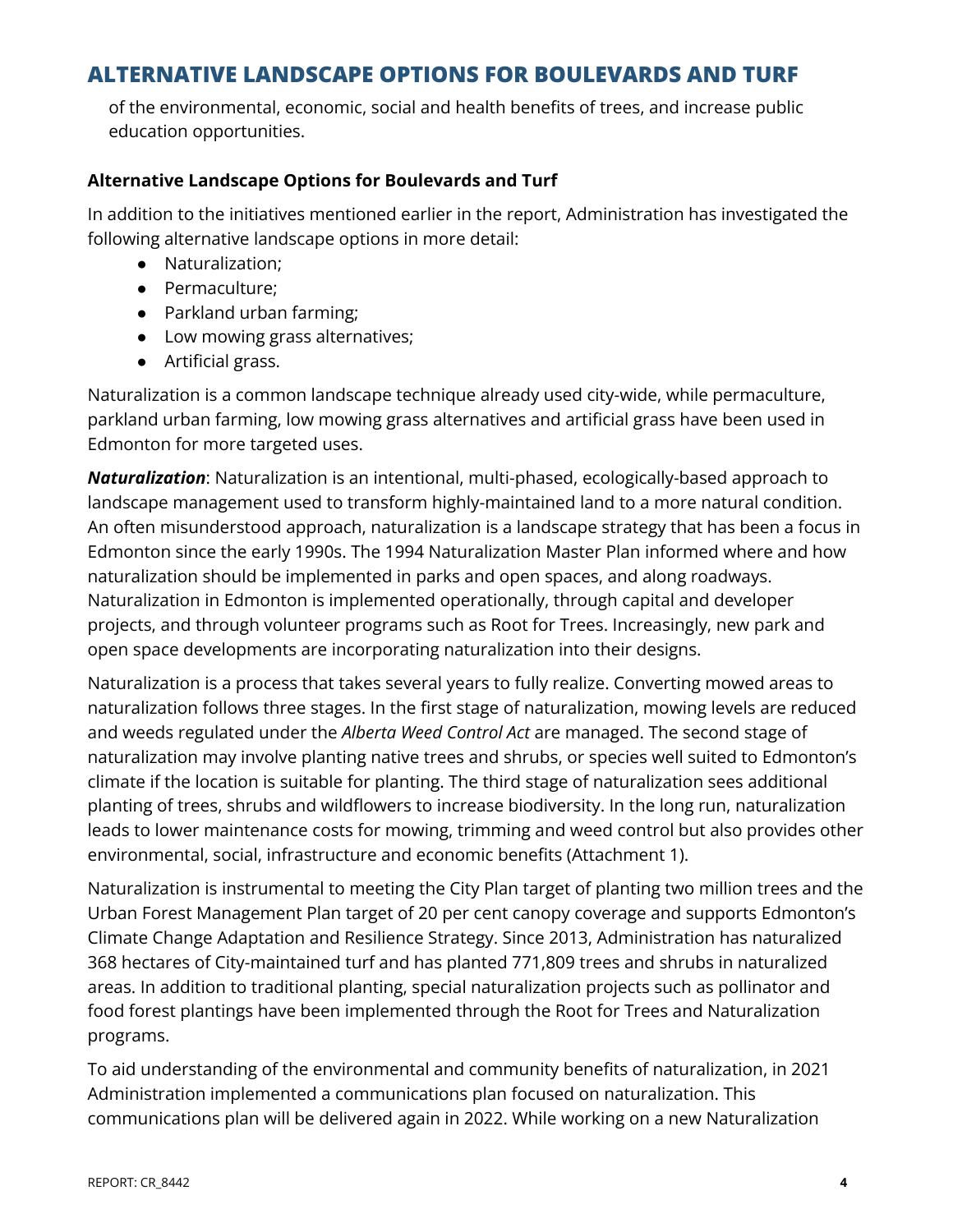of the environmental, economic, social and health benefits of trees, and increase public education opportunities.

### **Alternative Landscape Options for Boulevards and Turf**

In addition to the initiatives mentioned earlier in the report, Administration has investigated the following alternative landscape options in more detail:

- Naturalization;
- Permaculture;
- Parkland urban farming;
- Low mowing grass alternatives;
- Artificial grass.

Naturalization is a common landscape technique already used city-wide, while permaculture, parkland urban farming, low mowing grass alternatives and artificial grass have been used in Edmonton for more targeted uses.

*Naturalization*: Naturalization is an intentional, multi-phased, ecologically-based approach to landscape management used to transform highly-maintained land to a more natural condition. An often misunderstood approach, naturalization is a landscape strategy that has been a focus in Edmonton since the early 1990s. The 1994 Naturalization Master Plan informed where and how naturalization should be implemented in parks and open spaces, and along roadways. Naturalization in Edmonton is implemented operationally, through capital and developer projects, and through volunteer programs such as Root for Trees. Increasingly, new park and open space developments are incorporating naturalization into their designs.

Naturalization is a process that takes several years to fully realize. Converting mowed areas to naturalization follows three stages. In the first stage of naturalization, mowing levels are reduced and weeds regulated under the *Alberta Weed Control Act* are managed. The second stage of naturalization may involve planting native trees and shrubs, or species well suited to Edmonton's climate if the location is suitable for planting. The third stage of naturalization sees additional planting of trees, shrubs and wildflowers to increase biodiversity. In the long run, naturalization leads to lower maintenance costs for mowing, trimming and weed control but also provides other environmental, social, infrastructure and economic benefits (Attachment 1).

Naturalization is instrumental to meeting the City Plan target of planting two million trees and the Urban Forest Management Plan target of 20 per cent canopy coverage and supports Edmonton's Climate Change Adaptation and Resilience Strategy. Since 2013, Administration has naturalized 368 hectares of City-maintained turf and has planted 771,809 trees and shrubs in naturalized areas. In addition to traditional planting, special naturalization projects such as pollinator and food forest plantings have been implemented through the Root for Trees and Naturalization programs.

To aid understanding of the environmental and community benefits of naturalization, in 2021 Administration implemented a communications plan focused on naturalization. This communications plan will be delivered again in 2022. While working on a new Naturalization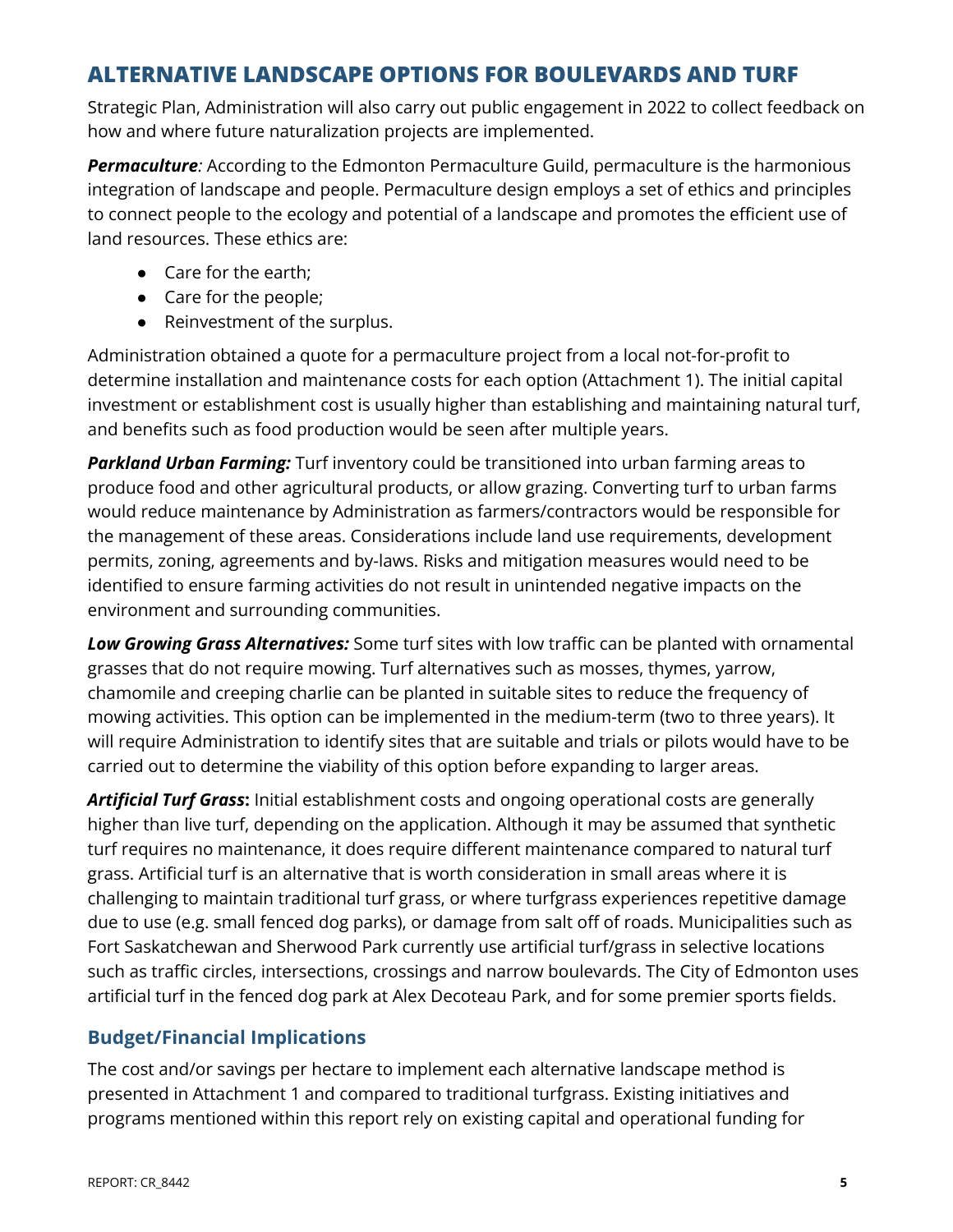Strategic Plan, Administration will also carry out public engagement in 2022 to collect feedback on how and where future naturalization projects are implemented.

*Permaculture:* According to the Edmonton Permaculture Guild, permaculture is the harmonious integration of landscape and people. Permaculture design employs a set of ethics and principles to connect people to the ecology and potential of a landscape and promotes the efficient use of land resources. These ethics are:

- Care for the earth;
- Care for the people;
- Reinvestment of the surplus.

Administration obtained a quote for a permaculture project from a local not-for-profit to determine installation and maintenance costs for each option (Attachment 1). The initial capital investment or establishment cost is usually higher than establishing and maintaining natural turf, and benefits such as food production would be seen after multiple years.

*Parkland Urban Farming:* Turf inventory could be transitioned into urban farming areas to produce food and other agricultural products, or allow grazing. Converting turf to urban farms would reduce maintenance by Administration as farmers/contractors would be responsible for the management of these areas. Considerations include land use requirements, development permits, zoning, agreements and by-laws. Risks and mitigation measures would need to be identified to ensure farming activities do not result in unintended negative impacts on the environment and surrounding communities.

*Low Growing Grass Alternatives:* Some turf sites with low traffic can be planted with ornamental grasses that do not require mowing. Turf alternatives such as mosses, thymes, yarrow, chamomile and creeping charlie can be planted in suitable sites to reduce the frequency of mowing activities. This option can be implemented in the medium-term (two to three years). It will require Administration to identify sites that are suitable and trials or pilots would have to be carried out to determine the viability of this option before expanding to larger areas.

*Artificial Turf Grass***:** Initial establishment costs and ongoing operational costs are generally higher than live turf, depending on the application. Although it may be assumed that synthetic turf requires no maintenance, it does require different maintenance compared to natural turf grass. Artificial turf is an alternative that is worth consideration in small areas where it is challenging to maintain traditional turf grass, or where turfgrass experiences repetitive damage due to use (e.g. small fenced dog parks), or damage from salt off of roads. Municipalities such as Fort Saskatchewan and Sherwood Park currently use artificial turf/grass in selective locations such as traffic circles, intersections, crossings and narrow boulevards. The City of Edmonton uses artificial turf in the fenced dog park at Alex Decoteau Park, and for some premier sports fields.

### **Budget/Financial Implications**

The cost and/or savings per hectare to implement each alternative landscape method is presented in Attachment 1 and compared to traditional turfgrass. Existing initiatives and programs mentioned within this report rely on existing capital and operational funding for